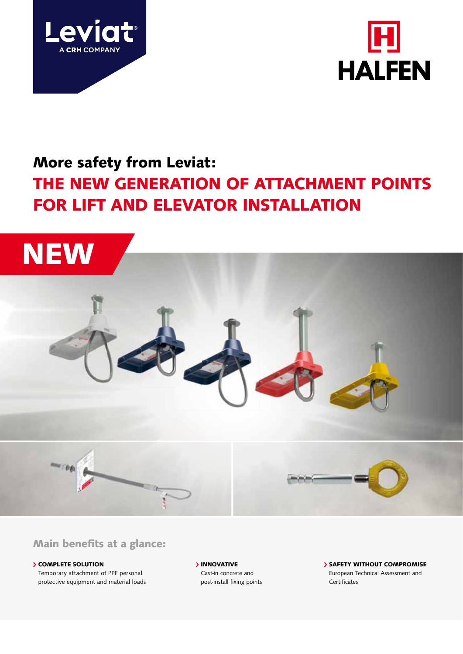



# More safety from Leviat: THE NEW GENERATION OF ATTACHMENT POINTS FOR LIFT AND ELEVATOR INSTALLATION



### Main benefits at a glance:

**SCOMPLETE SOLUTION** Temporary attachment of PPE personal protective equipment and material loads **> INNOVATIVE** Cast-in concrete and post-install fixing points **> SAFETY WITHOUT COMPROMISE** European Technical Assessment and Certificates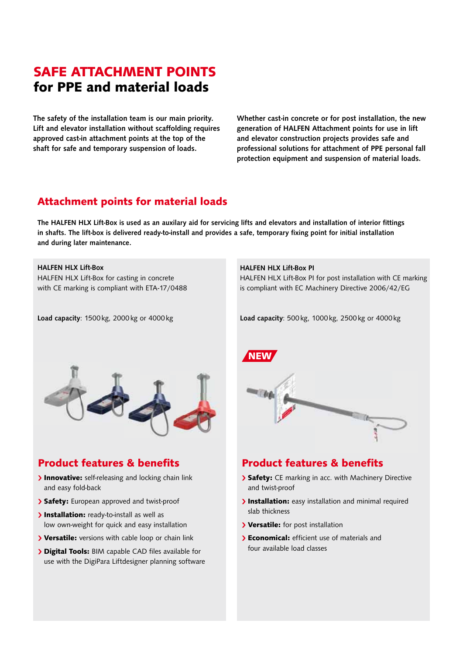# SAFE ATTACHMENT POINTS for PPE and material loads

The safety of the installation team is our main priority. Lift and elevator installation without scaffolding requires approved cast-in attachment points at the top of the shaft for safe and temporary suspension of loads.

Whether cast-in concrete or for post installation, the new generation of HALFEN Attachment points for use in lift and elevator construction projects provides safe and professional solutions for attachment of PPE personal fall protection equipment and suspension of material loads.

### Attachment points for material loads

The HALFEN HLX Lift-Box is used as an auxilary aid for servicing lifts and elevators and installation of interior fittings in shafts. The lift-box is delivered ready-to-install and provides a safe, temporary fixing point for initial installation and during later maintenance.

#### HALFEN HLX Lift-Box

HALFEN HLX Lift-Box for casting in concrete with CE marking is compliant with ETA-17/0488

Load capacity: 1500 kg, 2000 kg or 4000 kg

#### HALFEN HLX Lift-Box PI

HALFEN HLX Lift-Box PI for post installation with CE marking is compliant with EC Machinery Directive 2006/42/EG

Load capacity: 500 kg, 1000 kg, 2500 kg or 4000 kg



### Product features & benefits

- > Innovative: self-releasing and locking chain link and easy fold-back
- > Safety: European approved and twist-proof
- > Installation: ready-to-install as well as low own-weight for quick and easy installation
- > Versatile: versions with cable loop or chain link
- **> Digital Tools:** BIM capable CAD files available for use with the DigiPara Liftdesigner planning software



### Product features & benefits

- > Safety: CE marking in acc. with Machinery Directive and twist-proof
- > Installation: easy installation and minimal required slab thickness
- > Versatile: for post installation
- **Economical:** efficient use of materials and four available load classes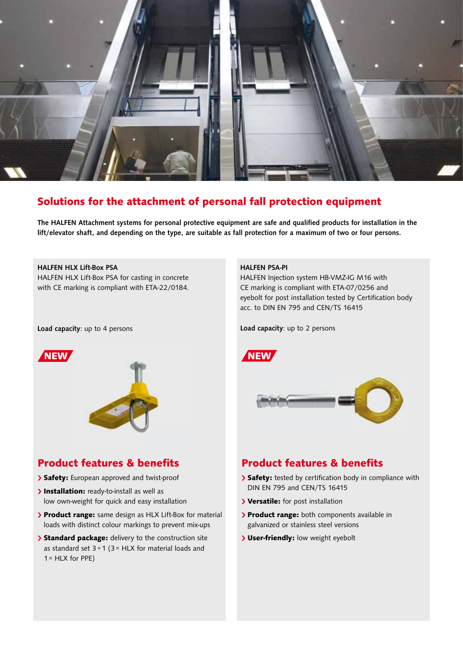

### Solutions for the attachment of personal fall protection equipment

The HALFEN Attachment systems for personal protective equipment are safe and qualified products for installation in the lift/elevator shaft, and depending on the type, are suitable as fall protection for a maximum of two or four persons.

#### HALFEN HLX Lift-Box PSA

HALFEN HLX Lift-Box PSA for casting in concrete with CE marking is compliant with ETA-22/0184.

#### Load capacity: up to 4 persons



#### Product features & benefits

- > Safety: European approved and twist-proof
- > Installation: ready-to-install as well as low own-weight for quick and easy installation
- > Product range: same design as HLX Lift-Box for material loads with distinct colour markings to prevent mix-ups
- > Standard package: delivery to the construction site as standard set  $3+1$  ( $3 \times$  HLX for material loads and  $1 \times$  HLX for PPE)

#### HALFEN PSA-PI

HALFEN Injection system HB-VMZ-IG M16 with CE marking is compliant with ETA-07/0256 and eyebolt for post installation tested by Certification body acc. to DIN EN 795 and CEN/TS 16415

Load capacity: up to 2 persons



### Product features & benefits

- > Safety: tested by certification body in compliance with DIN EN 795 and CEN/TS 16415
- > Versatile: for post installation
- > Product range: both components available in galvanized or stainless steel versions
- > User-friendly: low weight eyebolt